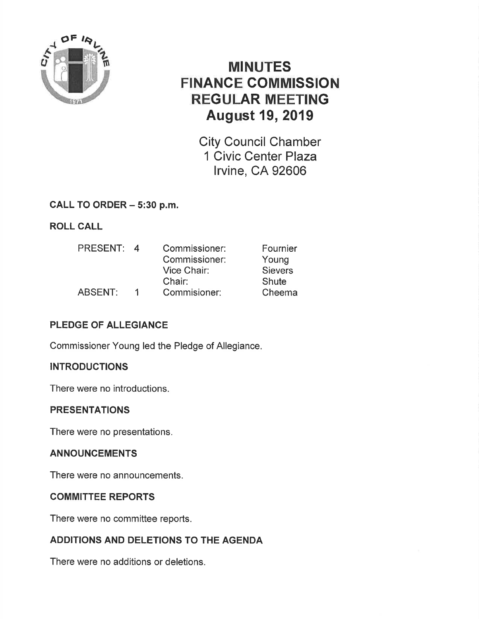

# MINUTES FINANCE COMMISSION REGULAR MEETING August 19, 2019

City Council Chamber 1 Civic Center Plaza lrvine, CA 92606

### CALL TO ORDER - 5:30 p.m.

### ROLL CALL

| <b>PRESENT:</b> | $\boldsymbol{A}$ | Commissioner: | Fournier       |
|-----------------|------------------|---------------|----------------|
|                 |                  | Commissioner: | Young          |
|                 |                  | Vice Chair:   | <b>Sievers</b> |
|                 |                  | Chair:        | Shute          |
| <b>ABSENT:</b>  | 1                | Commisioner:  | Cheema         |

## PLEDGE OF ALLEGIANCE

Commissioner Young led the Pledge of Allegiance.

### **INTRODUCTIONS**

There were no introductions.

### PRESENTATIONS

There were no presentations.

### ANNOUNCEMENTS

There were no announcements.

### **COMMITTEE REPORTS**

There were no committee reports.

## ADDITIONS AND DELETIONS TO THE AGENDA

There were no additions or deletions.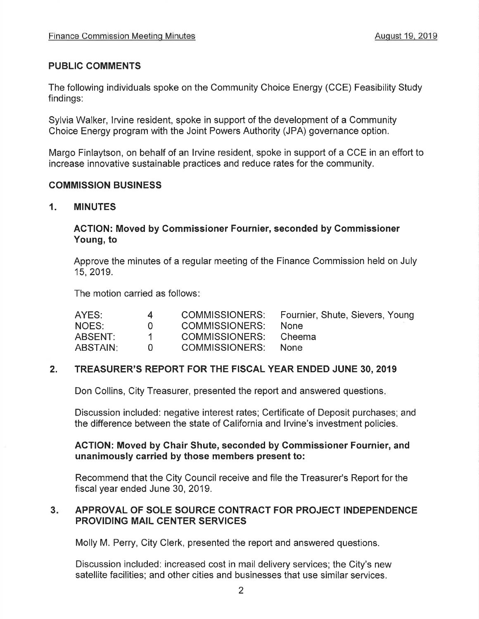### PUBLIC COMMENTS

The following individuals spoke on the Community Choice Energy (CCE) Feasibility Study findings:

Sylvia Walker, lrvine resident, spoke in support of the development of a Community Choice Energy program with the Joint Powers Authority (JPA) governance option.

Margo Finlaytson, on behalf of an lrvine resident, spoke in support of a CCE in an effort to increase innovative sustainable practices and reduce rates for the community.

#### COMMISSION BUSINESS

1. MINUTES

#### AGTION: Moved by Gommissioner Fournier, seconded by Commissioner Young, to

Approve the minutes of a regular meeting of the Finance Commission held on July 15,2019.

The motion carried as follows

| AYES:           | 4        |                | COMMISSIONERS: Fournier, Shute, Sievers, Young |
|-----------------|----------|----------------|------------------------------------------------|
| NOES:           | $\Omega$ | COMMISSIONERS: | <b>None</b>                                    |
| ABSENT:         |          | COMMISSIONERS: | Cheema                                         |
| <b>ABSTAIN:</b> |          | COMMISSIONERS: | None.                                          |

#### 2. TREASURER'S REPORT FOR THE FISCAL YEAR ENDED JUNE 30, 2019

Don Collins, City Treasurer, presented the report and answered questions

Discussion included: negative interest rates; Certificate of Deposit purchases; and the difference between the state of California and lrvine's investment policies.

#### ACTION: Moved by Chair Shute, seconded by Gommissioner Fournier, and unanimously carried by those members present to:

Recommend that the City Council receive and file the Treasurer's Report for the fiscal year ended June 30, 2019.

#### APPROVAL OF SOLE SOURCE CONTRACT FOR PROJECT INDEPENDENCE PROVIDING MAIL CENTER SERVICES  $3 -$

Molly M. Perry, City Clerk, presented the report and answered questions.

Discussion included: increased cost in mail delivery services; the City's new satellite facilities; and other cities and businesses that use similar services.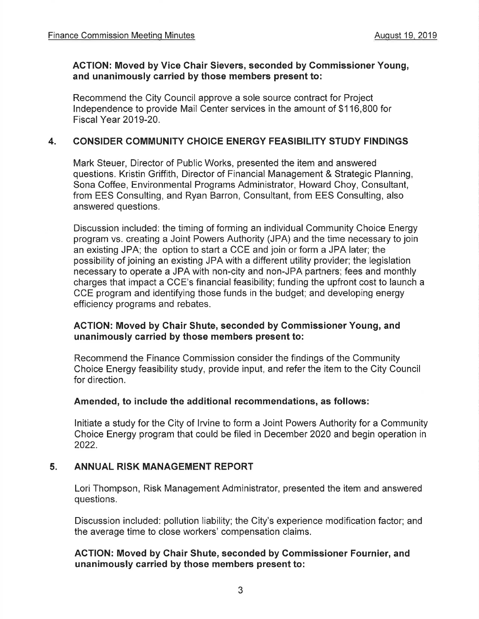#### ACTION: Moved by Vice Ghair Sievers, seconded by Commissioner Young, and unanimously carried by those members present to:

Recommend the City Council approve a sole source contract for Project lndependence to provide Mail Center services in the amount of \$116,800 for Fiscal Year 2019-20.

#### 4. CONSIDER COMMUNITY CHOICE ENERGY FEASIBILITY STUDY FINDINGS

Mark Steuer, Director of Public Works, presented the item and answered questions. Kristin Griffith, Director of Financial Management & Strategic Planning, Sona Coffee, Environmental Programs Administrator, Howard Choy, Consultant, from EES Consulting, and Ryan Barron, Consultant, from EES Consulting, also answered questions.

Discussion included: the timing of forming an individual Community Choice Energy program vs. creating a Joint Powers Authority (JPA) and the time necessary to join an existing JPA; the option to start a CCE and join or form a JPA later; the possibility of joining an existing JPA with a different utility provider; the legislation necessary to operate a JPA with non-city and non-JPA partners; fees and monthly charges that impact a CCE's financial feasibility; funding the upfront cost to launch a CCE program and identifying those funds in the budget; and developing energy efficiency programs and rebates.

#### AGTION: Moved by Ghair Shute, seconded by Commissioner Young, and unanimously carried by those members present to:

Recommend the Finance Commission consider the findings of the Community Choice Energy feasibility study, provide input, and refer the item to the City Council for direction.

#### Amended, to include the additional recommendations, as follows:

lnitiate a study for the City of lrvine to form a Joint Powers Authority for a Community Choice Energy program that could be filed in December 2020 and begin operation in 2022.

#### 5. ANNUAL RISK MANAGEMENT REPORT

Lori Thompson, Risk Management Administrator, presented the item and answered questions.

Discussion included: pollution liability; the City's experience modification factor; and the average time to close workers' compensation claims.

### ACTION: Moved by Chair Shute, seconded by Gommissioner Fournier, and unanimously carried by those members present to: